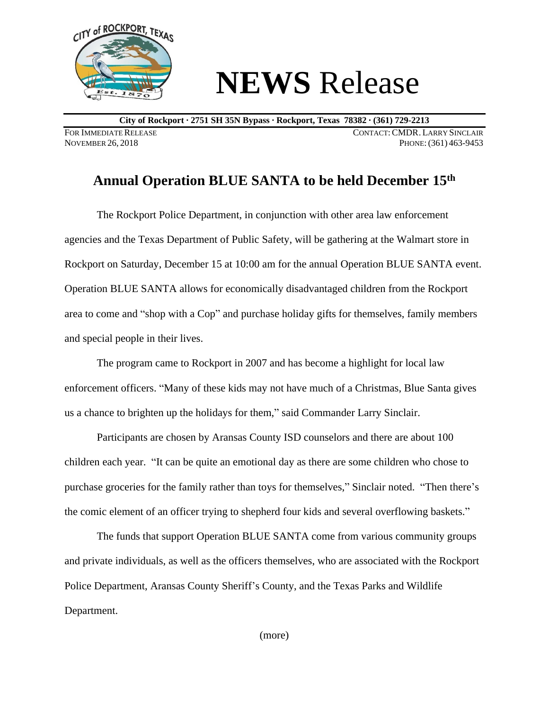

## **NEWS** Release

**City of Rockport ∙ 2751 SH 35N Bypass ∙ Rockport, Texas 78382 ∙ (361) 729-2213**

FOR IMMEDIATE RELEASE CONTACT: CMDR. LARRY SINCLAIR<br>November 26, 2018 Phone: (361) 463-9453 PHONE: (361) 463-9453

## **Annual Operation BLUE SANTA to be held December 15th**

The Rockport Police Department, in conjunction with other area law enforcement agencies and the Texas Department of Public Safety, will be gathering at the Walmart store in Rockport on Saturday, December 15 at 10:00 am for the annual Operation BLUE SANTA event. Operation BLUE SANTA allows for economically disadvantaged children from the Rockport area to come and "shop with a Cop" and purchase holiday gifts for themselves, family members and special people in their lives.

The program came to Rockport in 2007 and has become a highlight for local law enforcement officers. "Many of these kids may not have much of a Christmas, Blue Santa gives us a chance to brighten up the holidays for them," said Commander Larry Sinclair.

Participants are chosen by Aransas County ISD counselors and there are about 100 children each year. "It can be quite an emotional day as there are some children who chose to purchase groceries for the family rather than toys for themselves," Sinclair noted. "Then there's the comic element of an officer trying to shepherd four kids and several overflowing baskets."

The funds that support Operation BLUE SANTA come from various community groups and private individuals, as well as the officers themselves, who are associated with the Rockport Police Department, Aransas County Sheriff's County, and the Texas Parks and Wildlife Department.